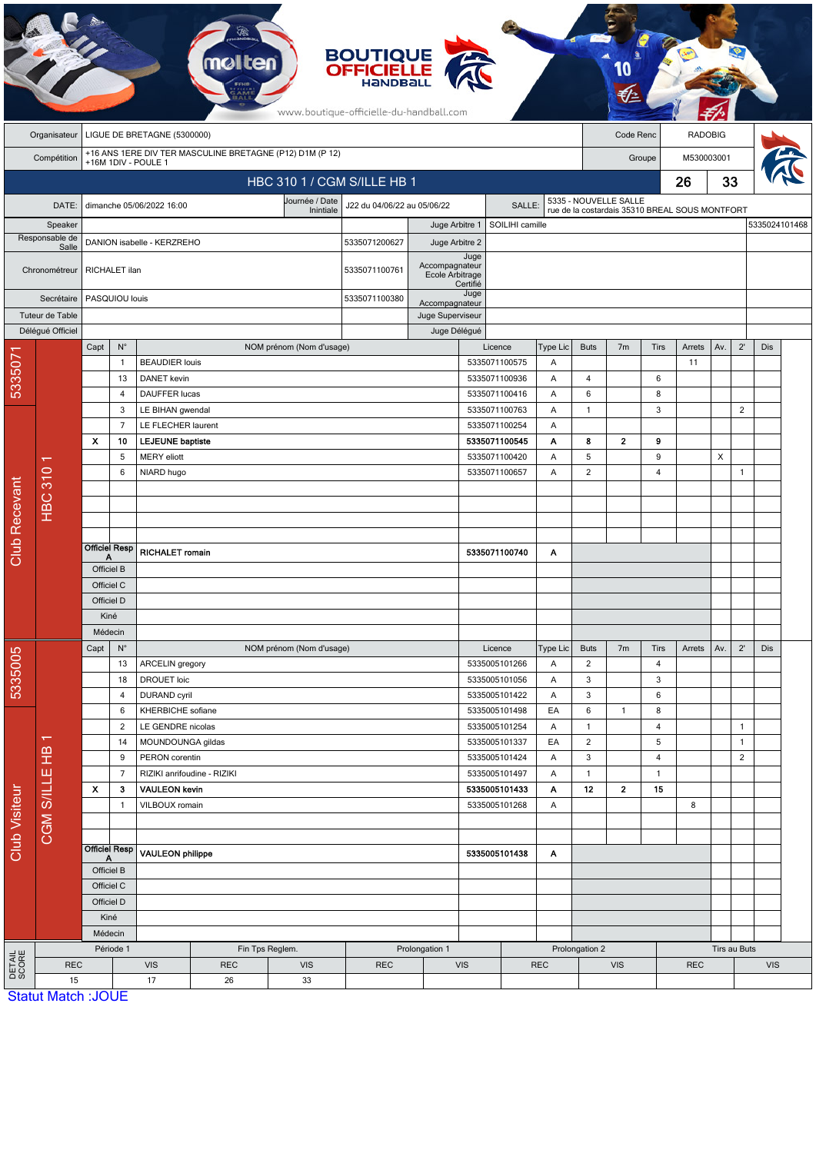|                      |                                                                                                |                            |                                                                        |                                             |                             |                             | <b>BOUTIQUE</b><br><b>OFFICIELLE</b><br>HANDBALL<br>www.boutique-officielle-du-handball.com |                                    |                                   |                                |                                                                         |                                |                |                         |                |            |                |               |  |
|----------------------|------------------------------------------------------------------------------------------------|----------------------------|------------------------------------------------------------------------|---------------------------------------------|-----------------------------|-----------------------------|---------------------------------------------------------------------------------------------|------------------------------------|-----------------------------------|--------------------------------|-------------------------------------------------------------------------|--------------------------------|----------------|-------------------------|----------------|------------|----------------|---------------|--|
|                      | Organisateur                                                                                   |                            |                                                                        | LIGUE DE BRETAGNE (5300000)                 |                             |                             |                                                                                             |                                    |                                   |                                |                                                                         |                                | Code Renc      |                         | <b>RADOBIG</b> |            |                |               |  |
|                      | +16 ANS 1ERE DIV TER MASCULINE BRETAGNE (P12) D1M (P 12)<br>Compétition<br>+16M 1DIV - POULE 1 |                            |                                                                        |                                             |                             |                             |                                                                                             |                                    |                                   |                                |                                                                         |                                | Groupe         |                         |                | M530003001 |                |               |  |
|                      |                                                                                                |                            |                                                                        |                                             |                             | HBC 310 1 / CGM S/ILLE HB 1 |                                                                                             |                                    |                                   |                                | 26                                                                      |                                |                |                         | 33             |            |                |               |  |
|                      | DATE:                                                                                          |                            |                                                                        | dimanche 05/06/2022 16:00                   |                             | Journée / Date              | J22 du 04/06/22 au 05/06/22                                                                 |                                    |                                   | SALLE:                         | 5335 - NOUVELLE SALLE<br>rue de la costardais 35310 BREAL SOUS MONTFORT |                                |                |                         |                |            |                |               |  |
|                      | Speaker                                                                                        |                            |                                                                        |                                             |                             | Inintiale                   |                                                                                             |                                    | SOILIHI camille<br>Juge Arbitre 1 |                                |                                                                         |                                |                |                         |                |            |                | 5335024101468 |  |
|                      | Responsable de                                                                                 | DANION isabelle - KERZREHO |                                                                        |                                             |                             |                             | 5335071200627                                                                               | Juge Arbitre 2                     |                                   |                                |                                                                         |                                |                |                         |                |            |                |               |  |
|                      | Salle<br>Chronométreur                                                                         |                            | RICHALET ilan                                                          |                                             |                             | 5335071100761               | Accompagnateur<br>Ecole Arbitrage                                                           | Juge                               |                                   |                                |                                                                         |                                |                |                         |                |            |                |               |  |
|                      | Secrétaire                                                                                     |                            | PASQUIOU louis                                                         |                                             |                             |                             |                                                                                             |                                    | Certifié<br>Juge                  |                                |                                                                         |                                |                |                         |                |            |                |               |  |
|                      | Tuteur de Table                                                                                |                            |                                                                        |                                             |                             |                             |                                                                                             | Accompagnateur<br>Juge Superviseur |                                   |                                |                                                                         |                                |                |                         |                |            |                |               |  |
|                      | Déléqué Officiel                                                                               |                            |                                                                        |                                             |                             |                             |                                                                                             | Juge Délégué                       |                                   |                                |                                                                         |                                |                |                         |                |            |                |               |  |
|                      |                                                                                                | Capt                       | $\mathsf{N}^\circ$                                                     |                                             |                             | NOM prénom (Nom d'usage)    |                                                                                             |                                    |                                   | Licence<br>5335071100575       | Type Lic                                                                | <b>Buts</b>                    | 7 <sub>m</sub> | <b>Tirs</b>             | Arrets         | Av.        | $2^{\prime}$   | <b>Dis</b>    |  |
| 5335071              |                                                                                                |                            | $\mathbf{1}$<br>13                                                     | <b>BEAUDIER louis</b><br><b>DANET</b> kevin |                             |                             |                                                                                             |                                    | 5335071100936                     | Α<br>Α                         | $\overline{4}$                                                          |                                | 6              | 11                      |                |            |                |               |  |
|                      |                                                                                                |                            | $\overline{4}$                                                         | <b>DAUFFER lucas</b>                        |                             |                             |                                                                                             |                                    |                                   | 5335071100416                  | Α                                                                       | 6                              |                | 8                       |                |            |                |               |  |
|                      |                                                                                                |                            | 3                                                                      | LE BIHAN gwendal                            |                             |                             |                                                                                             |                                    |                                   | 5335071100763                  | Α                                                                       | $\mathbf{1}$                   |                | 3                       |                |            | 2              |               |  |
|                      |                                                                                                |                            | $\overline{7}$                                                         |                                             | LE FLECHER laurent          |                             |                                                                                             | 5335071100254                      |                                   | Α                              |                                                                         |                                |                |                         |                |            |                |               |  |
|                      |                                                                                                | $\mathbf{x}$               | 10                                                                     | <b>LEJEUNE</b> baptiste                     |                             |                             |                                                                                             |                                    |                                   | 5335071100545                  | Α                                                                       | 8                              | $\overline{2}$ | 9                       |                |            |                |               |  |
|                      |                                                                                                |                            | 5                                                                      | MERY eliott                                 |                             |                             |                                                                                             |                                    |                                   | 5335071100420                  |                                                                         | 5                              |                | 9                       |                | X          |                |               |  |
|                      |                                                                                                | 6                          |                                                                        | NIARD hugo                                  |                             |                             |                                                                                             |                                    |                                   | 5335071100657                  | Α                                                                       | $\overline{2}$                 |                | $\overline{4}$          |                |            | $\mathbf{1}$   |               |  |
|                      | <b>HBC 310</b>                                                                                 |                            |                                                                        |                                             |                             |                             |                                                                                             |                                    |                                   |                                |                                                                         |                                |                |                         |                |            |                |               |  |
|                      |                                                                                                |                            |                                                                        |                                             |                             |                             |                                                                                             |                                    |                                   |                                |                                                                         |                                |                |                         |                |            |                |               |  |
|                      |                                                                                                |                            |                                                                        |                                             |                             |                             |                                                                                             |                                    |                                   |                                |                                                                         |                                |                |                         |                |            |                |               |  |
| <b>Club Recevant</b> |                                                                                                | Officiel Resp<br>Α         |                                                                        | <b>RICHALET romain</b>                      |                             |                             |                                                                                             |                                    |                                   | 5335071100740                  | Α                                                                       |                                |                |                         |                |            |                |               |  |
|                      |                                                                                                | Officiel B                 |                                                                        |                                             |                             |                             |                                                                                             |                                    |                                   |                                |                                                                         |                                |                |                         |                |            |                |               |  |
|                      |                                                                                                | Officiel C                 |                                                                        |                                             |                             |                             |                                                                                             |                                    |                                   |                                |                                                                         |                                |                |                         |                |            |                |               |  |
|                      |                                                                                                | Officiel D                 |                                                                        |                                             |                             |                             |                                                                                             |                                    |                                   |                                |                                                                         |                                |                |                         |                |            |                |               |  |
|                      |                                                                                                | Kiné<br>Médecin            |                                                                        |                                             |                             |                             |                                                                                             |                                    |                                   |                                |                                                                         |                                |                |                         |                |            |                |               |  |
|                      | π                                                                                              | Capt                       | $\mathsf{N}^\circ$                                                     |                                             |                             | NOM prénom (Nom d'usage)    |                                                                                             |                                    |                                   | Licence                        | Type Lic                                                                | <b>Buts</b>                    | 7 <sub>m</sub> | Tirs                    | Arrets         | Av.        | $2^{\prime}$   | Dis           |  |
| 5335005              |                                                                                                |                            | 13                                                                     | ARCELIN gregory                             |                             |                             |                                                                                             |                                    |                                   | 5335005101266                  | Α                                                                       | $\overline{2}$                 |                | $\overline{\mathbf{4}}$ |                |            |                |               |  |
|                      |                                                                                                |                            | 18                                                                     | <b>DROUET loic</b>                          |                             | 5335005101056<br>Α          |                                                                                             | 3                                  |                                   | 3                              |                                                                         |                                |                |                         |                |            |                |               |  |
| Club Visiteur        |                                                                                                |                            | $\overline{4}$                                                         | <b>DURAND</b> cyril                         |                             |                             |                                                                                             |                                    |                                   | 5335005101422                  | Α                                                                       | 3                              | $\mathbf{1}$   | 6                       |                |            |                |               |  |
|                      |                                                                                                |                            | 6<br>2                                                                 | KHERBICHE sofiane<br>LE GENDRE nicolas      |                             |                             |                                                                                             |                                    |                                   | 5335005101498                  | EA                                                                      | 6                              |                | 8                       |                |            | $\mathbf{1}$   |               |  |
|                      |                                                                                                |                            | 14                                                                     | MOUNDOUNGA gildas                           |                             |                             |                                                                                             |                                    |                                   | 5335005101254<br>5335005101337 | Α<br>EA                                                                 | $\mathbf{1}$<br>$\overline{2}$ |                | 4<br>5                  |                |            | $\mathbf{1}$   |               |  |
|                      |                                                                                                |                            | 9                                                                      | PERON corentin                              |                             |                             |                                                                                             |                                    |                                   | 5335005101424                  | Α                                                                       | $\mathbf{3}$                   |                | $\overline{4}$          |                |            | $\overline{2}$ |               |  |
|                      | CGM S/ILLE HB                                                                                  |                            | $\overline{7}$                                                         |                                             | RIZIKI anrifoudine - RIZIKI |                             |                                                                                             |                                    |                                   | 5335005101497                  | Α                                                                       | $\mathbf{1}$                   |                | $\mathbf{1}$            |                |            |                |               |  |
|                      |                                                                                                | X                          | 3<br><b>VAULEON kevin</b>                                              |                                             |                             | 5335005101433               |                                                                                             | Α                                  | 12                                | $\overline{2}$                 | 15                                                                      |                                |                |                         |                |            |                |               |  |
|                      |                                                                                                |                            | VILBOUX romain<br>$\mathbf{1}$                                         |                                             |                             |                             |                                                                                             | 5335005101268                      |                                   | A                              |                                                                         |                                |                | 8                       |                |            |                |               |  |
|                      |                                                                                                |                            |                                                                        |                                             |                             |                             |                                                                                             |                                    |                                   |                                |                                                                         |                                |                |                         |                |            |                |               |  |
|                      |                                                                                                |                            | <b>Officiel Resp</b>                                                   | <b>VAULEON philippe</b>                     |                             |                             |                                                                                             | 5335005101438                      |                                   | Α                              |                                                                         |                                |                |                         |                |            |                |               |  |
|                      |                                                                                                |                            | Α<br>Officiel B                                                        |                                             |                             |                             |                                                                                             |                                    |                                   |                                |                                                                         |                                |                |                         |                |            |                |               |  |
|                      |                                                                                                |                            | Officiel C                                                             |                                             |                             |                             |                                                                                             |                                    |                                   |                                |                                                                         |                                |                |                         |                |            |                |               |  |
|                      |                                                                                                |                            | Officiel D                                                             |                                             |                             |                             |                                                                                             |                                    |                                   |                                |                                                                         |                                |                |                         |                |            |                |               |  |
|                      |                                                                                                |                            | Kiné                                                                   |                                             |                             |                             |                                                                                             |                                    |                                   |                                |                                                                         |                                |                |                         |                |            |                |               |  |
|                      |                                                                                                |                            | Médecin                                                                |                                             |                             |                             |                                                                                             | Prolongation 1                     |                                   |                                |                                                                         |                                |                |                         |                |            |                |               |  |
| DETAIL<br>SCORE      | <b>REC</b>                                                                                     |                            | Période 1<br>Fin Tps Reglem.<br><b>REC</b><br><b>VIS</b><br><b>VIS</b> |                                             |                             |                             | <b>REC</b>                                                                                  | <b>VIS</b>                         |                                   | <b>REC</b>                     | Prolongation 2                                                          | <b>VIS</b>                     |                | <b>REC</b>              | Tirs au Buts   |            | <b>VIS</b>     |               |  |
|                      | 15                                                                                             |                            |                                                                        | 17                                          | 26                          | 33                          |                                                                                             |                                    |                                   |                                |                                                                         |                                |                |                         |                |            |                |               |  |
|                      | <b>Statut Match: JOUE</b>                                                                      |                            |                                                                        |                                             |                             |                             |                                                                                             |                                    |                                   |                                |                                                                         |                                |                |                         |                |            |                |               |  |